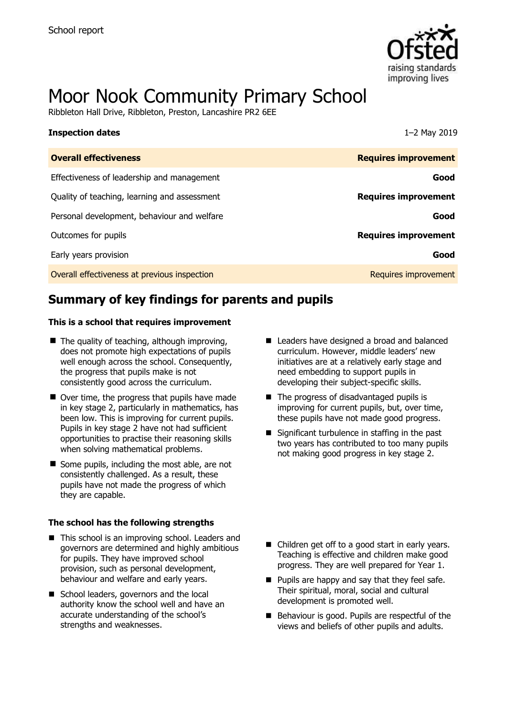

# Moor Nook Community Primary School

Ribbleton Hall Drive, Ribbleton, Preston, Lancashire PR2 6EE

| 1-2 May 2019                |
|-----------------------------|
| <b>Requires improvement</b> |
| Good                        |
| <b>Requires improvement</b> |
| Good                        |
| <b>Requires improvement</b> |
| Good                        |
| Requires improvement        |
|                             |

# **Summary of key findings for parents and pupils**

#### **This is a school that requires improvement**

- $\blacksquare$  The quality of teaching, although improving, does not promote high expectations of pupils well enough across the school. Consequently, the progress that pupils make is not consistently good across the curriculum.
- Over time, the progress that pupils have made in key stage 2, particularly in mathematics, has been low. This is improving for current pupils. Pupils in key stage 2 have not had sufficient opportunities to practise their reasoning skills when solving mathematical problems.
- $\blacksquare$  Some pupils, including the most able, are not consistently challenged. As a result, these pupils have not made the progress of which they are capable.

#### **The school has the following strengths**

- This school is an improving school. Leaders and governors are determined and highly ambitious for pupils. They have improved school provision, such as personal development, behaviour and welfare and early years.
- School leaders, governors and the local authority know the school well and have an accurate understanding of the school's strengths and weaknesses.
- Leaders have designed a broad and balanced curriculum. However, middle leaders' new initiatives are at a relatively early stage and need embedding to support pupils in developing their subject-specific skills.
- The progress of disadvantaged pupils is improving for current pupils, but, over time, these pupils have not made good progress.
- $\blacksquare$  Significant turbulence in staffing in the past two years has contributed to too many pupils not making good progress in key stage 2.

- Children get off to a good start in early years. Teaching is effective and children make good progress. They are well prepared for Year 1.
- **Pupils are happy and say that they feel safe.** Their spiritual, moral, social and cultural development is promoted well.
- Behaviour is good. Pupils are respectful of the views and beliefs of other pupils and adults.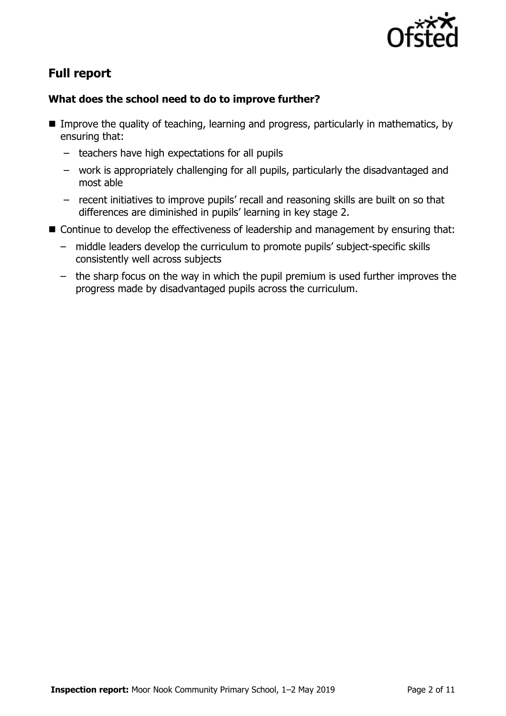

# **Full report**

### **What does the school need to do to improve further?**

- **IMPROPED the quality of teaching, learning and progress, particularly in mathematics, by** ensuring that:
	- teachers have high expectations for all pupils
	- work is appropriately challenging for all pupils, particularly the disadvantaged and most able
	- recent initiatives to improve pupils' recall and reasoning skills are built on so that differences are diminished in pupils' learning in key stage 2.
- Continue to develop the effectiveness of leadership and management by ensuring that:
	- middle leaders develop the curriculum to promote pupils' subject-specific skills consistently well across subjects
	- the sharp focus on the way in which the pupil premium is used further improves the progress made by disadvantaged pupils across the curriculum.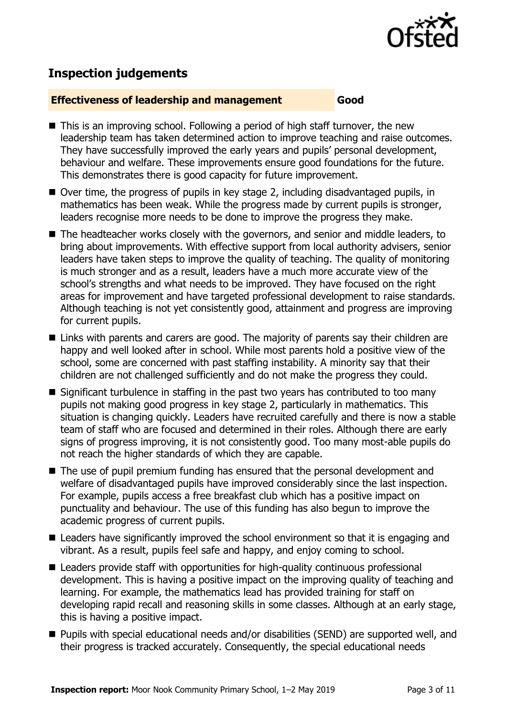

# **Inspection judgements**

#### **Effectiveness of leadership and management Good**

- This is an improving school. Following a period of high staff turnover, the new leadership team has taken determined action to improve teaching and raise outcomes. They have successfully improved the early years and pupils' personal development, behaviour and welfare. These improvements ensure good foundations for the future. This demonstrates there is good capacity for future improvement.
- $\blacksquare$  Over time, the progress of pupils in key stage 2, including disadvantaged pupils, in mathematics has been weak. While the progress made by current pupils is stronger, leaders recognise more needs to be done to improve the progress they make.
- The headteacher works closely with the governors, and senior and middle leaders, to bring about improvements. With effective support from local authority advisers, senior leaders have taken steps to improve the quality of teaching. The quality of monitoring is much stronger and as a result, leaders have a much more accurate view of the school's strengths and what needs to be improved. They have focused on the right areas for improvement and have targeted professional development to raise standards. Although teaching is not yet consistently good, attainment and progress are improving for current pupils.
- Links with parents and carers are good. The majority of parents say their children are happy and well looked after in school. While most parents hold a positive view of the school, some are concerned with past staffing instability. A minority say that their children are not challenged sufficiently and do not make the progress they could.
- $\blacksquare$  Significant turbulence in staffing in the past two years has contributed to too many pupils not making good progress in key stage 2, particularly in mathematics. This situation is changing quickly. Leaders have recruited carefully and there is now a stable team of staff who are focused and determined in their roles. Although there are early signs of progress improving, it is not consistently good. Too many most-able pupils do not reach the higher standards of which they are capable.
- The use of pupil premium funding has ensured that the personal development and welfare of disadvantaged pupils have improved considerably since the last inspection. For example, pupils access a free breakfast club which has a positive impact on punctuality and behaviour. The use of this funding has also begun to improve the academic progress of current pupils.
- Leaders have significantly improved the school environment so that it is engaging and vibrant. As a result, pupils feel safe and happy, and enjoy coming to school.
- Leaders provide staff with opportunities for high-quality continuous professional development. This is having a positive impact on the improving quality of teaching and learning. For example, the mathematics lead has provided training for staff on developing rapid recall and reasoning skills in some classes. Although at an early stage, this is having a positive impact.
- Pupils with special educational needs and/or disabilities (SEND) are supported well, and their progress is tracked accurately. Consequently, the special educational needs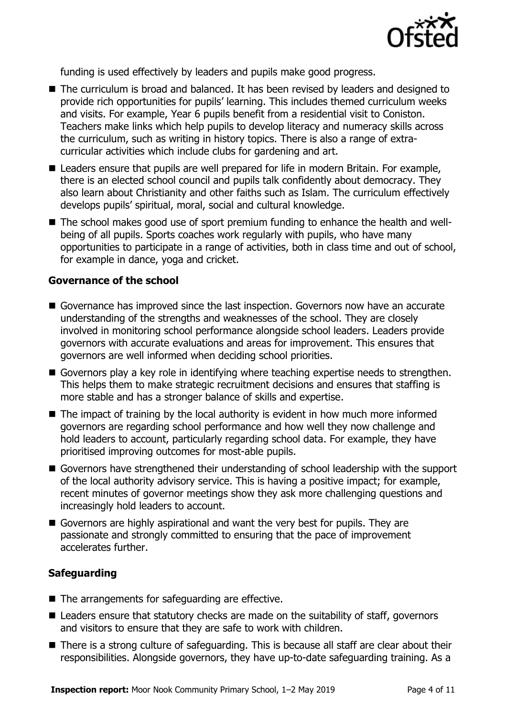

funding is used effectively by leaders and pupils make good progress.

- The curriculum is broad and balanced. It has been revised by leaders and designed to provide rich opportunities for pupils' learning. This includes themed curriculum weeks and visits. For example, Year 6 pupils benefit from a residential visit to Coniston. Teachers make links which help pupils to develop literacy and numeracy skills across the curriculum, such as writing in history topics. There is also a range of extracurricular activities which include clubs for gardening and art.
- Leaders ensure that pupils are well prepared for life in modern Britain. For example, there is an elected school council and pupils talk confidently about democracy. They also learn about Christianity and other faiths such as Islam. The curriculum effectively develops pupils' spiritual, moral, social and cultural knowledge.
- The school makes good use of sport premium funding to enhance the health and wellbeing of all pupils. Sports coaches work regularly with pupils, who have many opportunities to participate in a range of activities, both in class time and out of school, for example in dance, yoga and cricket.

#### **Governance of the school**

- Governance has improved since the last inspection. Governors now have an accurate understanding of the strengths and weaknesses of the school. They are closely involved in monitoring school performance alongside school leaders. Leaders provide governors with accurate evaluations and areas for improvement. This ensures that governors are well informed when deciding school priorities.
- Governors play a key role in identifying where teaching expertise needs to strengthen. This helps them to make strategic recruitment decisions and ensures that staffing is more stable and has a stronger balance of skills and expertise.
- $\blacksquare$  The impact of training by the local authority is evident in how much more informed governors are regarding school performance and how well they now challenge and hold leaders to account, particularly regarding school data. For example, they have prioritised improving outcomes for most-able pupils.
- Governors have strengthened their understanding of school leadership with the support of the local authority advisory service. This is having a positive impact; for example, recent minutes of governor meetings show they ask more challenging questions and increasingly hold leaders to account.
- Governors are highly aspirational and want the very best for pupils. They are passionate and strongly committed to ensuring that the pace of improvement accelerates further.

### **Safeguarding**

- The arrangements for safeguarding are effective.
- Leaders ensure that statutory checks are made on the suitability of staff, governors and visitors to ensure that they are safe to work with children.
- There is a strong culture of safeguarding. This is because all staff are clear about their responsibilities. Alongside governors, they have up-to-date safeguarding training. As a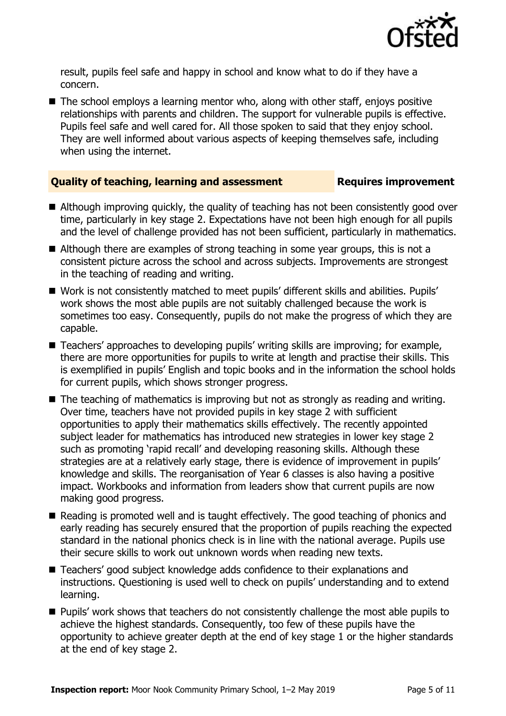

result, pupils feel safe and happy in school and know what to do if they have a concern.

 $\blacksquare$  The school employs a learning mentor who, along with other staff, enjoys positive relationships with parents and children. The support for vulnerable pupils is effective. Pupils feel safe and well cared for. All those spoken to said that they enjoy school. They are well informed about various aspects of keeping themselves safe, including when using the internet.

#### **Quality of teaching, learning and assessment Fig. 2.1 Requires improvement**

- Although improving quickly, the quality of teaching has not been consistently good over time, particularly in key stage 2. Expectations have not been high enough for all pupils and the level of challenge provided has not been sufficient, particularly in mathematics.
- Although there are examples of strong teaching in some year groups, this is not a consistent picture across the school and across subjects. Improvements are strongest in the teaching of reading and writing.
- Work is not consistently matched to meet pupils' different skills and abilities. Pupils' work shows the most able pupils are not suitably challenged because the work is sometimes too easy. Consequently, pupils do not make the progress of which they are capable.
- Teachers' approaches to developing pupils' writing skills are improving; for example, there are more opportunities for pupils to write at length and practise their skills. This is exemplified in pupils' English and topic books and in the information the school holds for current pupils, which shows stronger progress.
- The teaching of mathematics is improving but not as strongly as reading and writing. Over time, teachers have not provided pupils in key stage 2 with sufficient opportunities to apply their mathematics skills effectively. The recently appointed subject leader for mathematics has introduced new strategies in lower key stage 2 such as promoting 'rapid recall' and developing reasoning skills. Although these strategies are at a relatively early stage, there is evidence of improvement in pupils' knowledge and skills. The reorganisation of Year 6 classes is also having a positive impact. Workbooks and information from leaders show that current pupils are now making good progress.
- Reading is promoted well and is taught effectively. The good teaching of phonics and early reading has securely ensured that the proportion of pupils reaching the expected standard in the national phonics check is in line with the national average. Pupils use their secure skills to work out unknown words when reading new texts.
- Teachers' good subject knowledge adds confidence to their explanations and instructions. Questioning is used well to check on pupils' understanding and to extend learning.
- **Pupils' work shows that teachers do not consistently challenge the most able pupils to** achieve the highest standards. Consequently, too few of these pupils have the opportunity to achieve greater depth at the end of key stage 1 or the higher standards at the end of key stage 2.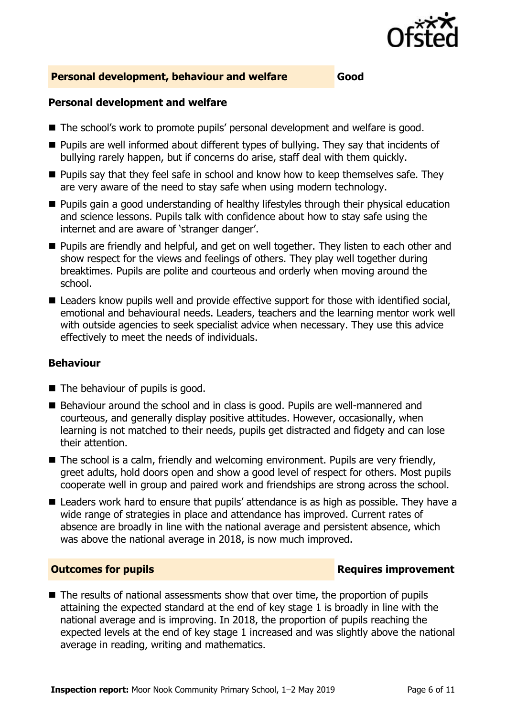

#### **Personal development, behaviour and welfare Good**

#### **Personal development and welfare**

- The school's work to promote pupils' personal development and welfare is good.
- Pupils are well informed about different types of bullying. They say that incidents of bullying rarely happen, but if concerns do arise, staff deal with them quickly.
- **Pupils say that they feel safe in school and know how to keep themselves safe. They** are very aware of the need to stay safe when using modern technology.
- **Pupils gain a good understanding of healthy lifestyles through their physical education** and science lessons. Pupils talk with confidence about how to stay safe using the internet and are aware of 'stranger danger'.
- **Pupils are friendly and helpful, and get on well together. They listen to each other and** show respect for the views and feelings of others. They play well together during breaktimes. Pupils are polite and courteous and orderly when moving around the school.
- Leaders know pupils well and provide effective support for those with identified social, emotional and behavioural needs. Leaders, teachers and the learning mentor work well with outside agencies to seek specialist advice when necessary. They use this advice effectively to meet the needs of individuals.

#### **Behaviour**

- The behaviour of pupils is good.
- Behaviour around the school and in class is good. Pupils are well-mannered and courteous, and generally display positive attitudes. However, occasionally, when learning is not matched to their needs, pupils get distracted and fidgety and can lose their attention.
- The school is a calm, friendly and welcoming environment. Pupils are very friendly, greet adults, hold doors open and show a good level of respect for others. Most pupils cooperate well in group and paired work and friendships are strong across the school.
- Leaders work hard to ensure that pupils' attendance is as high as possible. They have a wide range of strategies in place and attendance has improved. Current rates of absence are broadly in line with the national average and persistent absence, which was above the national average in 2018, is now much improved.

#### **Outcomes for pupils Requires improvement**

■ The results of national assessments show that over time, the proportion of pupils attaining the expected standard at the end of key stage 1 is broadly in line with the national average and is improving. In 2018, the proportion of pupils reaching the expected levels at the end of key stage 1 increased and was slightly above the national average in reading, writing and mathematics.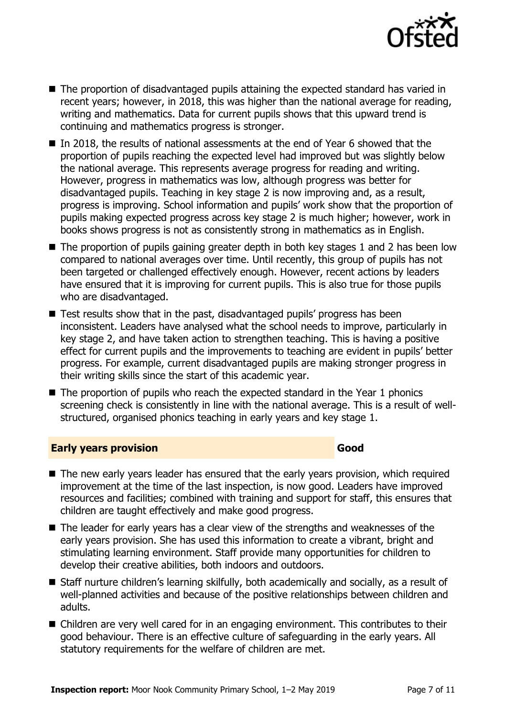

- The proportion of disadvantaged pupils attaining the expected standard has varied in recent years; however, in 2018, this was higher than the national average for reading, writing and mathematics. Data for current pupils shows that this upward trend is continuing and mathematics progress is stronger.
- In 2018, the results of national assessments at the end of Year 6 showed that the proportion of pupils reaching the expected level had improved but was slightly below the national average. This represents average progress for reading and writing. However, progress in mathematics was low, although progress was better for disadvantaged pupils. Teaching in key stage 2 is now improving and, as a result, progress is improving. School information and pupils' work show that the proportion of pupils making expected progress across key stage 2 is much higher; however, work in books shows progress is not as consistently strong in mathematics as in English.
- The proportion of pupils gaining greater depth in both key stages 1 and 2 has been low compared to national averages over time. Until recently, this group of pupils has not been targeted or challenged effectively enough. However, recent actions by leaders have ensured that it is improving for current pupils. This is also true for those pupils who are disadvantaged.
- Test results show that in the past, disadvantaged pupils' progress has been inconsistent. Leaders have analysed what the school needs to improve, particularly in key stage 2, and have taken action to strengthen teaching. This is having a positive effect for current pupils and the improvements to teaching are evident in pupils' better progress. For example, current disadvantaged pupils are making stronger progress in their writing skills since the start of this academic year.
- The proportion of pupils who reach the expected standard in the Year 1 phonics screening check is consistently in line with the national average. This is a result of wellstructured, organised phonics teaching in early years and key stage 1.

#### **Early years provision Good Good**

- The new early years leader has ensured that the early years provision, which required improvement at the time of the last inspection, is now good. Leaders have improved resources and facilities; combined with training and support for staff, this ensures that children are taught effectively and make good progress.
- The leader for early years has a clear view of the strengths and weaknesses of the early years provision. She has used this information to create a vibrant, bright and stimulating learning environment. Staff provide many opportunities for children to develop their creative abilities, both indoors and outdoors.
- Staff nurture children's learning skilfully, both academically and socially, as a result of well-planned activities and because of the positive relationships between children and adults.
- Children are very well cared for in an engaging environment. This contributes to their good behaviour. There is an effective culture of safeguarding in the early years. All statutory requirements for the welfare of children are met.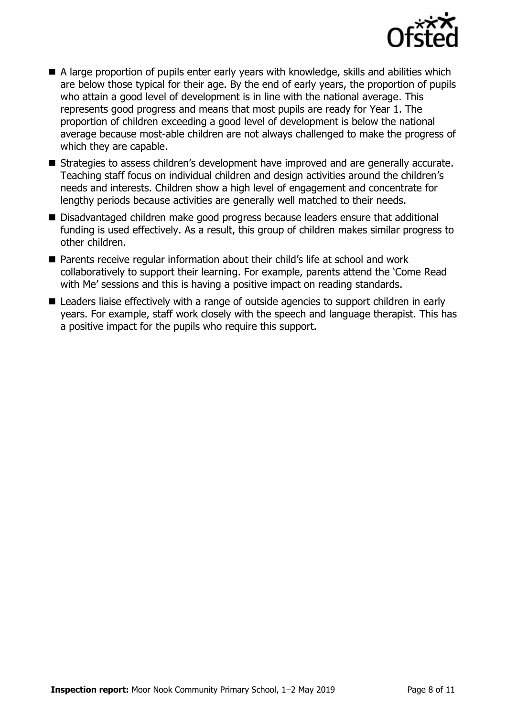

- A large proportion of pupils enter early years with knowledge, skills and abilities which are below those typical for their age. By the end of early years, the proportion of pupils who attain a good level of development is in line with the national average. This represents good progress and means that most pupils are ready for Year 1. The proportion of children exceeding a good level of development is below the national average because most-able children are not always challenged to make the progress of which they are capable.
- Strategies to assess children's development have improved and are generally accurate. Teaching staff focus on individual children and design activities around the children's needs and interests. Children show a high level of engagement and concentrate for lengthy periods because activities are generally well matched to their needs.
- Disadvantaged children make good progress because leaders ensure that additional funding is used effectively. As a result, this group of children makes similar progress to other children.
- Parents receive regular information about their child's life at school and work collaboratively to support their learning. For example, parents attend the 'Come Read with Me' sessions and this is having a positive impact on reading standards.
- Leaders liaise effectively with a range of outside agencies to support children in early years. For example, staff work closely with the speech and language therapist. This has a positive impact for the pupils who require this support.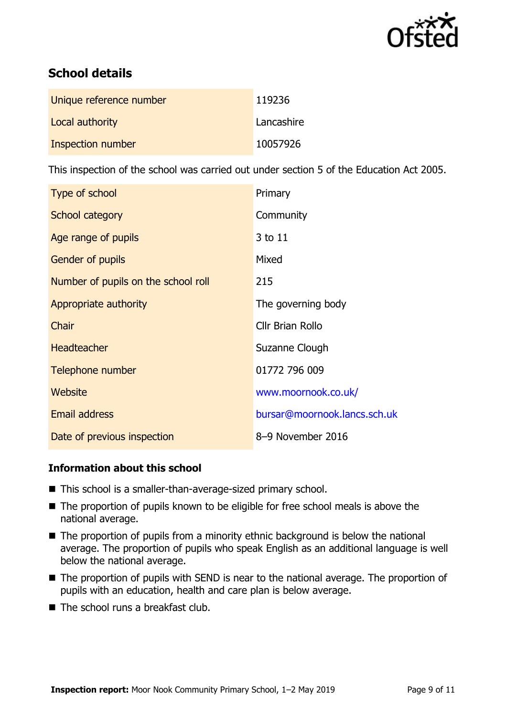

# **School details**

| Unique reference number | 119236     |
|-------------------------|------------|
| Local authority         | Lancashire |
| Inspection number       | 10057926   |

This inspection of the school was carried out under section 5 of the Education Act 2005.

| Type of school                      | Primary                      |
|-------------------------------------|------------------------------|
| School category                     | Community                    |
| Age range of pupils                 | 3 to 11                      |
| <b>Gender of pupils</b>             | Mixed                        |
| Number of pupils on the school roll | 215                          |
| Appropriate authority               | The governing body           |
| Chair                               | Cllr Brian Rollo             |
| <b>Headteacher</b>                  | Suzanne Clough               |
| Telephone number                    | 01772 796 009                |
| Website                             | www.moornook.co.uk/          |
| <b>Email address</b>                | bursar@moornook.lancs.sch.uk |
| Date of previous inspection         | 8-9 November 2016            |

### **Information about this school**

- This school is a smaller-than-average-sized primary school.
- The proportion of pupils known to be eligible for free school meals is above the national average.
- $\blacksquare$  The proportion of pupils from a minority ethnic background is below the national average. The proportion of pupils who speak English as an additional language is well below the national average.
- The proportion of pupils with SEND is near to the national average. The proportion of pupils with an education, health and care plan is below average.
- $\blacksquare$  The school runs a breakfast club.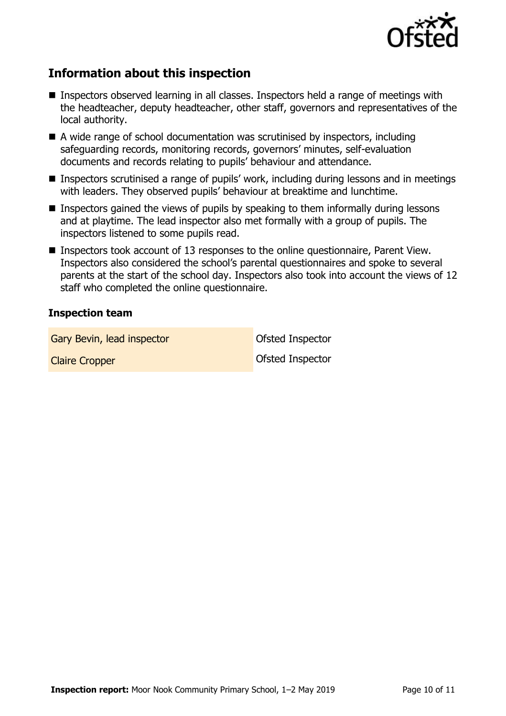

# **Information about this inspection**

- Inspectors observed learning in all classes. Inspectors held a range of meetings with the headteacher, deputy headteacher, other staff, governors and representatives of the local authority.
- A wide range of school documentation was scrutinised by inspectors, including safeguarding records, monitoring records, governors' minutes, self-evaluation documents and records relating to pupils' behaviour and attendance.
- Inspectors scrutinised a range of pupils' work, including during lessons and in meetings with leaders. They observed pupils' behaviour at breaktime and lunchtime.
- **Inspectors gained the views of pupils by speaking to them informally during lessons** and at playtime. The lead inspector also met formally with a group of pupils. The inspectors listened to some pupils read.
- Inspectors took account of 13 responses to the online questionnaire, Parent View. Inspectors also considered the school's parental questionnaires and spoke to several parents at the start of the school day. Inspectors also took into account the views of 12 staff who completed the online questionnaire.

#### **Inspection team**

Gary Bevin, lead inspector **Cary Bevin, lead inspector Cary Bevine Inspector** 

Claire Cropper Claire Cropper Claire Cropper